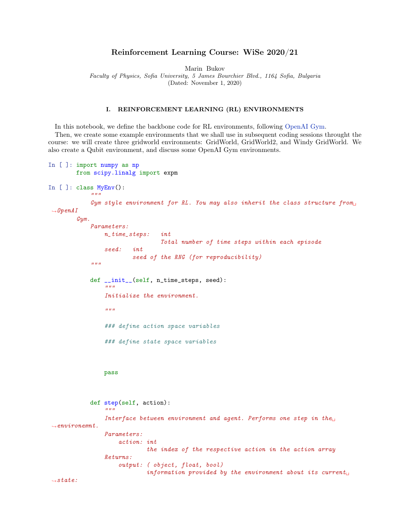# Reinforcement Learning Course: WiSe 2020/21

Marin Bukov

Faculty of Physics, Sofia University, 5 James Bourchier Blvd., 1164 Sofia, Bulgaria

(Dated: November 1, 2020)

### I. REINFORCEMENT LEARNING (RL) ENVIRONMENTS

In this notebook, we define the backbone code for RL environments, following [OpenAI Gym.](https://gym.openai.com/) Then, we create some example environments that we shall use in subsequent coding sessions throught the course: we will create three gridworld environments: GridWorld, GridWorld2, and Windy GridWorld. We also create a Qubit environment, and discuss some OpenAI Gym environments.

```
In [ ]: import numpy as np
        from scipy.linalg import expm
In [ ]: class MyEnv():
             """
             Gym style environment for RL. You may also inherit the class structure from
\rightarrowOpenAI
        Gym.
             Parameters:
                 n_time_steps: int
                                  Total number of time steps within each episode
                 seed: int
                         seed of the RNG (for reproducibility)
             "''"def __init__(self, n_time_steps, seed):
                 "''"Initialize the environment.
                 "''"### define action space variables
                 ### define state space variables
                 pass
             def step(self, action):
                 """
                 Interface between environment and agent. Performs one step in the\Box\rightarrowenvironemnt.
                 Parameters:
                     action: int
                              the index of the respective action in the action array
                 Returns:
                     output: ( object, float, bool)
                              information provided by the environment about its currentL_{\square}\rightarrowstate:
```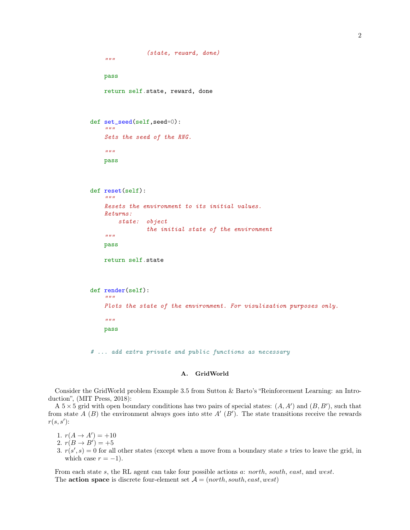```
(state, reward, done)
    "''"pass
    return self.state, reward, done
def set_seed(self,seed=0):
    "''"Sets the seed of the RNG.
    "''"pass
def reset(self):
    "''"Resets the environment to its initial values.
    Returns:
        state: object
                 the initial state of the environment
    \overline{u}""
    pass
    return self.state
def render(self):
    "''"Plots the state of the environment. For visulization purposes only.
    "''"pass
# ... add extra private and public functions as necessary
```
# A. GridWorld

Consider the GridWorld problem Example 3.5 from Sutton & Barto's "Reinforcement Learning: an Introduction", (MIT Press, 2018):

A  $5 \times 5$  grid with open boundary conditions has two pairs of special states:  $(A, A')$  and  $(B, B')$ , such that from state  $A(B)$  the environment always goes into stte  $A'(B')$ . The state transitions receive the rewards  $r(s, s')$ :

1.  $r(A \to A') = +10$ 

- 2.  $r(B \to B') = +5$
- 3.  $r(s', s) = 0$  for all other states (except when a move from a boundary state s tries to leave the grid, in which case  $r = -1$ ).

From each state s, the RL agent can take four possible actions a: north, south, east, and west. The **action space** is discrete four-element set  $A = (north, south, east, west)$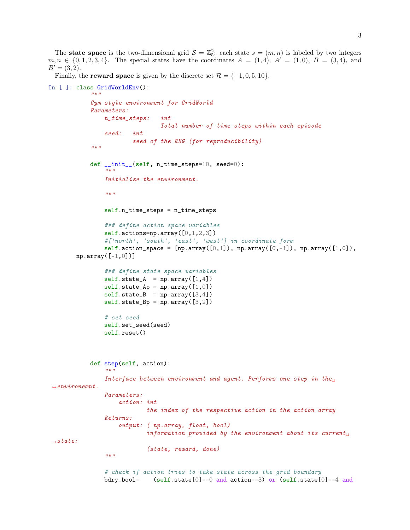The **state space** is the two-dimensional grid  $S = \mathbb{Z}_5^2$ : each state  $s = (m, n)$  is labeled by two integers  $m, n \in \{0, 1, 2, 3, 4\}.$  The special states have the coordinates  $A = (1, 4), A' = (1, 0), B = (3, 4),$  and  $B' = (3, 2).$ 

Finally, the **reward space** is given by the discrete set  $\mathcal{R} = \{-1, 0, 5, 10\}$ .

```
In [ ]: class GridWorldEnv():
            "''"Gym style environment for GridWorld
            Parameters:
                n_time_steps: int
                                 Total number of time steps within each episode
                seed: int
                        seed of the RNG (for reproducibility)
            "''"def __init__(self, n_time_steps=10, seed=0):
                 "''"Initialize the environment.
                 "''"self.n_time_steps = n_time_steps
                ### define action space variables
                self.actions=np.array([0,1,2,3])
                #['north', 'south', 'east', 'west'] in coordinate form
                self.action_space = [np.array([0,1]), np.array([0,-1]), np.array([1,0]),np.array([-1, 0])### define state space variables
                self.state_A = np.array([1,4])self.state_Ap = np.array([1,0])self.state_B = np.array([3, 4])self.state_Bp = np.array([3,2])# set seed
                self.set seed(seed)
                self.reset()
            def step(self, action):
                 "''"Interface between environment and agent. Performs one step in the\Box\rightarrowenvironemnt.
                Parameters:
                    action: int
                             the index of the respective action in the action array
                Returns:
                     output: ( np.array, float, bool)
                             information provided by the environment about its current<sub>□</sub></sub>
ightharpoonup state:(state, reward, done)
                 "''"# check if action tries to take state across the grid boundary
                bdry_bool= (self.sete[0] == 0 and action == 3) or (self.setae[0] == 4 and
```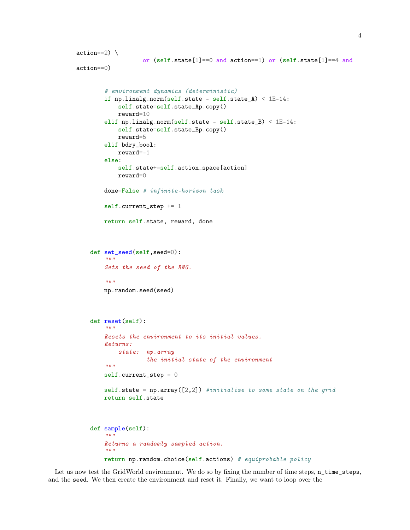```
action==2)or (self.state[1]==0 and action==1) or (self.state[1]==4 and
action==0)
        # environment dynamics (deterministic)
        if np.linalg.norm(self.state - self.state_A) < 1E-14:
             self.state=self.state_Ap.copy()
             reward=10
        elif np.linalg.norm(self.state - self.state_B) < 1E-14:
             self.state=self.state_Bp.copy()
             reward=5
        elif bdry_bool:
             reward=-1
        else:
             self.state+=self.action_space[action]
             reward=0
        done=False # infinite-horizon task
        self.current_step += 1
        return self.state, reward, done
    def set_seed(self,seed=0):
         \bar{n} \bar{n} \bar{n}Sets the seed of the RNG.
         "''"''"np.random.seed(seed)
    def reset(self):
         "''"Resets the environment to its initial values.
        Returns:
             state: np.array
                     the initial state of the environment
         "''"''"self.current_step = 0
        self.state = np.array([2,2]) #initialize to some state on the grid
        return self.state
    def sample(self):
         """
        Returns a randomly sampled action.
         \boldsymbol{u} \boldsymbol{u} \boldsymbol{u}return np.random.choice(self.actions) # equiprobable policy
```
Let us now test the GridWorld environment. We do so by fixing the number of time steps,  $n$ \_time\_steps, and the seed. We then create the environment and reset it. Finally, we want to loop over the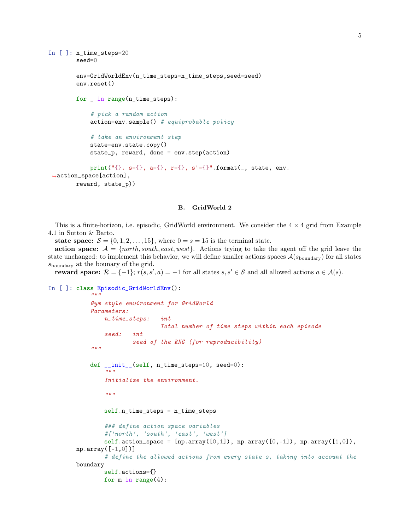```
In [ ]: n_time_steps=20
        seed=0
        env=GridWorldEnv(n_time_steps=n_time_steps,seed=seed)
        env.reset()
        for _ in range(n_time_steps):
            # pick a random action
            action=env.sumple() # equiprobable policy
            # take an environment step
            state=env.state.copy()
            state_p, reward, done = env.step(action)
            print("{}. s={}, a={}, r={}, s'={}".format(_, state, env.
,→action_space[action],
       reward, state_p))
```
## B. GridWorld 2

This is a finite-horizon, i.e. episodic, GridWorld environment. We consider the  $4 \times 4$  grid from Example 4.1 in Sutton & Barto.

state space:  $S = \{0, 1, 2, \ldots, 15\}$ , where  $0 = s = 15$  is the terminal state.

action space:  $A = \{north, south, east, west\}$ . Actions trying to take the agent off the grid leave the state unchanged: to implement this behavior, we will define smaller actions spaces  $\mathcal{A}(s_{\text{boundary}})$  for all states sboundary at the bounary of the grid.

reward space:  $\mathcal{R} = \{-1\}$ ;  $r(s, s', a) = -1$  for all states  $s, s' \in \mathcal{S}$  and all allowed actions  $a \in \mathcal{A}(s)$ .

In [ ]: class Episodic\_GridWorldEnv():  $"''"$ 

```
Gym style environment for GridWorld
    Parameters:
        n_time_steps: int
                        Total number of time steps within each episode
        seed: int
                seed of the RNG (for reproducibility)
    "''"def __init__(self, n_time_steps=10, seed=0):
        """
        Initialize the environment.
        "''"self.n_time_steps = n_time_steps
        ### define action space variables
        #['north', 'south', 'east', 'west']
        self.action_space = [np.array([0,1]), np.array([0,-1]), np.array([1,0]),np.array([-1, 0])# define the allowed actions from every state s, taking into account the
boundary
        self.actions={}
        for m in range(4):
```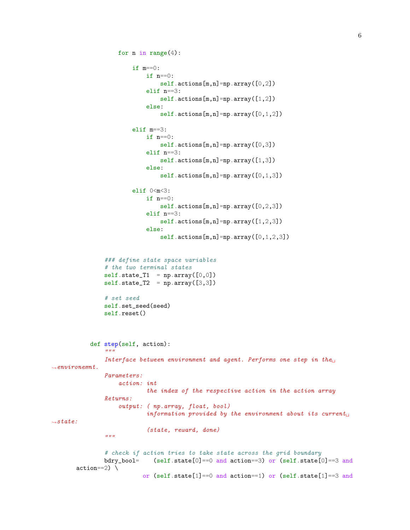```
for n in range(4):
                        if m==0:
                            if n==0:
                                self.actions[m,n]=np.array([0,2])
                            elif n==3:
                                self.actions[m,n]=np.array([1,2])
                            else:
                                self.actions[m,n]=np.array([0,1,2])
                        elif m==3:
                            if n == 0:
                                self.actions[m,n]=np.array([0,3])
                            elif n==3:
                                self.actions[m,n]=np.array([1,3])
                            else:
                                self.actions[m,n]=np.array([0,1,3])elif 0 < m < 3:
                            if n==0:
                                self.actions[m,n]=np.array([0,2,3])
                            elif n==3:
                                self.actions[m,n]=np.array([1,2,3])
                            else:
                                self. actions[m,n]=np. array([0,1,2,3])### define state space variables
               # the two terminal states
               self. state_T1 = np.array([0, 0])self.state_T2 = np.array([3,3])# set seed
               self.set_seed(seed)
               self.reset()
           def step(self, action):
                "''"Interface between environment and agent. Performs one step in the\Box\rightarrowenvironemnt.
               Parameters:
                    action: int
                            the index of the respective action in the action array
               Returns:
                    output: ( np.array, float, bool)
                            information provided by the environment about its current\mathsf{L}_\Boxightharpoonupstate:
                            (state, reward, done)
                "''"''"# check if action tries to take state across the grid boundary
               bdry_bool= (self.state[0] == 0 and action == 3) or (self.state[0] == 3 andaction==2)or (self.state[1]==0 and action==1) or (self.state[1]==3 and
```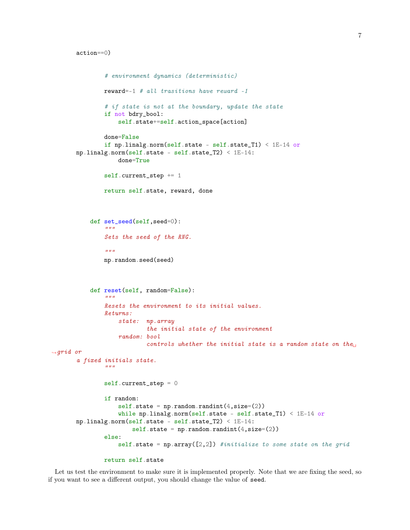```
action==0)
```

```
# environment dynamics (deterministic)
               reward=-1 # all trasitions have reward -1
               # if state is not at the boundary, update the state
               if not bdry_bool:
                   self.state+=self.action_space[action]
               done=False
               if np.linalg.norm(self.state - self.state_T1) < 1E-14 or
       np.linalg.norm(self.state - self.state_T2) < 1E-14:
                   done=True
               self.current_step += 1
               return self.state, reward, done
           def set_seed(self,seed=0):
               \bar{n} \bar{n} \bar{n}Sets the seed of the RNG.
                "''"np.random.seed(seed)
           def reset(self, random=False):
                "" "
               Resets the environment to its initial values.
               Returns:
                   state: np.array
                            the initial state of the environment
                   random: bool
                            controls whether the initial state is a random state on the
\rightarrowqrid or
       a fixed initials state.
                "''"self.current_step = 0
               if random:
                   self. state = np.random.randn(t(.size=(2))while np.linalg.norm(self.state - self.state_T1) < 1E-14 or
       np.linalg.norm(self.state - self.state_T2) < 1E-14:
                        self. state = np.random.randn(t, size=(2))else:
                   self.state = np.array([2,2]) #initialize to some state on the grid
```

```
return self.state
```
Let us test the environment to make sure it is implemented properly. Note that we are fixing the seed, so if you want to see a different output, you should change the value of seed.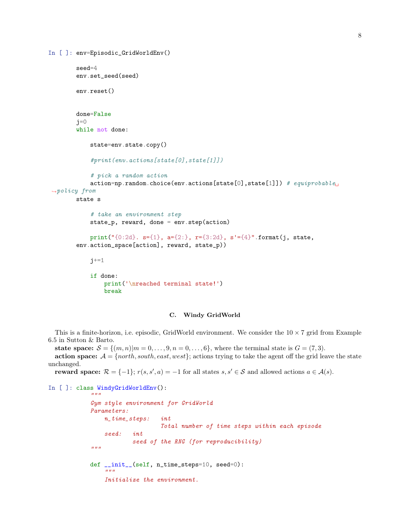```
In [ ]: env=Episodic_GridWorldEnv()
        seed=4
        env.set_seed(seed)
        env.reset()
        done=False
        j=0while not done:
            state=env.state.copy()
            #print(env.actions[state[0],state[1]])
            # pick a random action
            action=np.random.choice(env.actions[state[0],state[1]]) # equiprobable
\rightarrowpolicy from
        state s
            # take an environment step
            state_p, reward, done = env.step(action)
            print("{0:2d}. s={1}, a={2:}, r={3:2d}, s'={4}".format(j, state,
        env.action_space[action], reward, state_p))
            j+=1if done:
                print('\nreached terminal state!')
                break
```
#### C. Windy GridWorld

This is a finite-horizon, i.e. episodic, GridWorld environment. We consider the  $10 \times 7$  grid from Example 6.5 in Sutton & Barto.

state space:  $S = \{(m, n)|m = 0, \ldots, 9, n = 0, \ldots, 6\}$ , where the terminal state is  $G = (7, 3)$ .

action space:  $A = \{north, south, east, west\}$ ; actions trying to take the agent off the grid leave the state unchanged.

reward space:  $\mathcal{R} = \{-1\}$ ;  $r(s, s', a) = -1$  for all states  $s, s' \in \mathcal{S}$  and allowed actions  $a \in \mathcal{A}(s)$ .

```
In [ ]: class WindyGridWorldEnv():
            "''"
```

```
Gym style environment for GridWorld
Parameters:
   n_time_steps: int
                   Total number of time steps within each episode
    seed: int
           seed of the RNG (for reproducibility)
"''"def __init__(self, n_time_steps=10, seed=0):
    "''"Initialize the environment.
```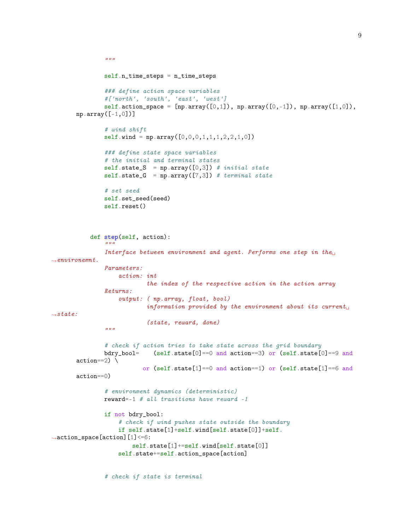```
"''"self.n_time_steps = n_time_steps
                ### define action space variables
                #['north', 'south', 'east', 'west']
                self.action_space = [np.array([0,1]), np.array([0,-1]), np.array([1,0]),np.array([-1,0])]
                # wind shift
                self.wind = np.array([0, 0, 0, 1, 1, 1, 2, 2, 1, 0])
                ### define state space variables
                # the initial and terminal states
                self.state_S = np.array([0,3]) # initial state
                self. state_G = np.array([7,3]) # terminal state# set seed
                self.set_seed(seed)
                self.reset()
           def step(self, action):
                "''"Interface between environment and agent. Performs one step in the\Box\rightarrowenvironemnt.
                Parameters:
                    action: int
                            the index of the respective action in the action array
                Returns:
                    output: ( np.array, float, bool)
                             information provided by the environment about its current<sub>□</sub></sub>
\rightarrowstate:
                            (state, reward, done)
                \bar{n} \bar{n} \bar{n}# check if action tries to take state across the grid boundary
                bdry_bool= (self.state[0] == 0 and action == 3) or (self.state[0] == 9 andaction==2)or (self.state[1]==0 and action==1) or (self.state[1]==6 and
       action==0)
                # environment dynamics (deterministic)
                reward=-1 # all trasitions have reward -1if not bdry_bool:
                    # check if wind pushes state outside the boundary
                    if self.state[1]+self.wind[self.state[0]]+self.
,→action_space[action][1]<=6:
                        self.state[1]+=self.wind[self.state[0]]
                    self.state+=self.action_space[action]
```
# check if state is terminal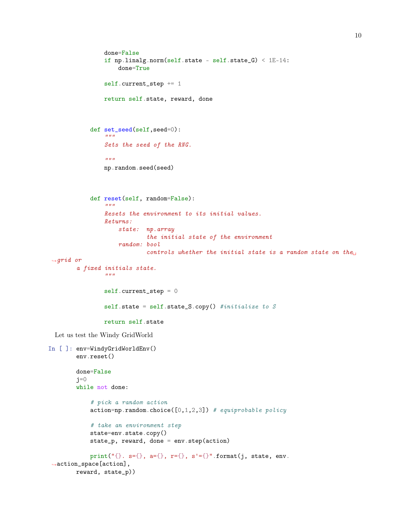```
done=False
                 if np.linalg.norm(self.state - self.state_G) < 1E-14:
                     done=True
                 self.current_step += 1
                 return self.state, reward, done
            def set_seed(self,seed=0):
                 "''"''"Sets the seed of the RNG.
                 "''"np.random.seed(seed)
            def reset(self, random=False):
                  "" "
                 Resets the environment to its initial values.
                 Returns:
                     state: np.array
                              the initial state of the environment
                     random: bool
                              controls whether the initial state is a random state on the
\rightarrow grid or
        a fixed initials state.
                 \boldsymbol{u} \boldsymbol{u} \boldsymbol{u}self.current_step = 0
                 self.state = self.state_S.copy() #initialize to Sreturn self.state
  Let us test the Windy GridWorld
In [ ]: env=WindyGridWorldEnv()
        env.reset()
        done=False
        j=0while not done:
             # pick a random action
             action=np.random choice([0,1,2,3]) # equiprobable policy
             # take an environment step
            state=env.state.copy()
            state_p, reward, done = env.step(action)
            print("{}. s={}, a={}, r={}, s'={}".format(j, state, env.
 \rightarrowaction_space[action],
        reward, state_p))
```
10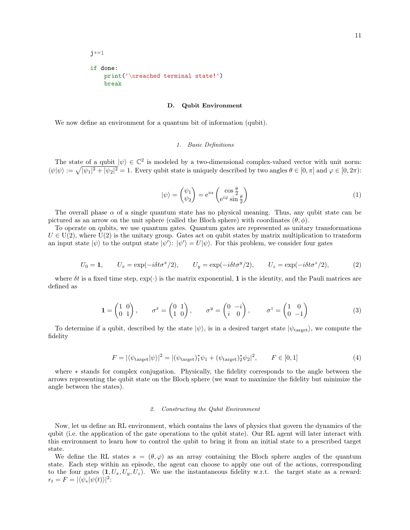```
j+=1if done:
    print('\nreached terminal state!')
    break
```
#### D. Qubit Environment

We now define an environment for a quantum bit of information (qubit).

#### 1. Basic Definitions

The state of a qubit  $|\psi\rangle \in \mathbb{C}^2$  is modeled by a two-dimensional complex-valued vector with unit norm:  $\langle \psi | \psi \rangle := \sqrt{|\psi_1|^2 + |\psi_2|^2} = 1$ . Every qubit state is uniquely described by two angles  $\theta \in [0, \pi]$  and  $\varphi \in [0, 2\pi)$ :

$$
|\psi\rangle = \begin{pmatrix} \psi_1 \\ \psi_2 \end{pmatrix} = e^{i\alpha} \begin{pmatrix} \cos\frac{\theta}{2} \\ e^{i\varphi}\sin\frac{\theta}{2} \end{pmatrix}
$$
 (1)

The overall phase  $\alpha$  of a single quantum state has no physical meaning. Thus, any qubit state can be pictured as an arrow on the unit sphere (called the Bloch sphere) with coordinates  $(\theta, \phi)$ .

To operate on qubits, we use quantum gates. Quantum gates are represented as unitary transformations  $U \in U(2)$ , where  $U(2)$  is the unitary group. Gates act on qubit states by matrix multiplication to transform an input state  $|\psi\rangle$  to the output state  $|\psi'\rangle$ :  $|\psi'\rangle = U|\psi\rangle$ . For this problem, we consider four gates

$$
U_0 = 1, \qquad U_x = \exp(-i\delta t \sigma^x/2), \qquad U_y = \exp(-i\delta t \sigma^y/2), \qquad U_z = \exp(-i\delta t \sigma^z/2), \tag{2}
$$

where  $\delta t$  is a fixed time step,  $\exp(\cdot)$  is the matrix exponential, 1 is the identity, and the Pauli matrices are defined as

$$
\mathbf{1} = \begin{pmatrix} 1 & 0 \\ 0 & 1 \end{pmatrix}, \qquad \sigma^x = \begin{pmatrix} 0 & 1 \\ 1 & 0 \end{pmatrix}, \qquad \sigma^y = \begin{pmatrix} 0 & -i \\ i & 0 \end{pmatrix}, \qquad \sigma^z = \begin{pmatrix} 1 & 0 \\ 0 & -1 \end{pmatrix}
$$
 (3)

To determine if a qubit, described by the state  $|\psi\rangle$ , is in a desired target state  $|\psi_{\text{target}}\rangle$ , we compute the fidelity

$$
F = |\langle \psi_{\text{target}} | \psi \rangle|^2 = |(\psi_{\text{target}})_1^* \psi_1 + (\psi_{\text{target}})_2^* \psi_2|^2, \qquad F \in [0, 1]
$$
 (4)

where ∗ stands for complex conjugation. Physically, the fidelity corresponds to the angle between the arrows representing the qubit state on the Bloch sphere (we want to maximize the fidelity but minimize the angle between the states).

#### 2. Constructing the Qubit Environment

Now, let us define an RL environment, which contains the laws of physics that govern the dynamics of the qubit (i.e. the application of the gate operations to the qubit state). Our RL agent will later interact with this environment to learn how to control the qubit to bring it from an initial state to a prescribed target state.

We define the RL states  $s = (\theta, \varphi)$  as an array containing the Bloch sphere angles of the quantum state. Each step within an episode, the agent can choose to apply one out of the actions, corresponding to the four gates  $(1, U_x, U_y, U_z)$ . We use the instantaneous fidelity w.r.t. the target state as a reward:  $r_t = F = |\langle \psi_* | \psi(t) \rangle|^2$ :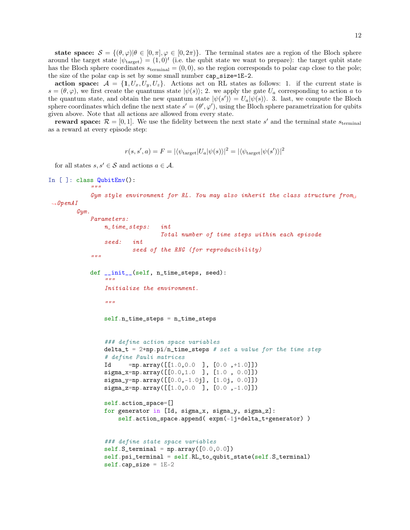state space:  $S = \{(\theta, \varphi) | \theta \in [0, \pi], \varphi \in [0, 2\pi)\}.$  The terminal states are a region of the Bloch sphere around the target state  $|\psi_{\text{target}}\rangle = (1,0)^t$  (i.e. the qubit state we want to prepare): the target qubit state has the Bloch sphere coordinates  $s_{\text{terminal}} = (0, 0)$ , so the region corresponds to polar cap close to the pole; the size of the polar cap is set by some small number cap\_size=1E-2.

action space:  $A = \{1, U_x, U_y, U_z\}$ . Actions act on RL states as follows: 1. if the current state is  $s = (\theta, \varphi)$ , we first create the quantums state  $|\psi(s)\rangle$ ; 2. we apply the gate  $U_a$  corresponding to action a to the quantum state, and obtain the new quantum state  $|\psi(s')\rangle = U_a |\psi(s)\rangle$ . 3. last, we compute the Bloch sphere coordinates which define the next state  $s' = (\theta', \varphi')$ , using the Bloch sphere parametrization for qubits given above. Note that all actions are allowed from every state.

reward space:  $\mathcal{R} = [0, 1]$ . We use the fidelity between the next state s' and the terminal state s<sub>terminal</sub> as a reward at every episode step:

$$
r(s, s', a) = F = |\langle \psi_{\text{target}} | U_a | \psi(s) \rangle|^2 = |\langle \psi_{\text{target}} | \psi(s') \rangle|^2
$$

for all states  $s, s' \in \mathcal{S}$  and actions  $a \in \mathcal{A}$ .

```
In [ ]: class QubitEnv():
             "''"
```

```
Gym style environment for RL. You may also inherit the class structure from
\rightarrowOpenAI
```

```
Gym.
    Parameters:
        n_time_steps: int
                        Total number of time steps within each episode
        seed: int
                seed of the RNG (for reproducibility)
    "''"def __init__(self, n_time_steps, seed):
        """
        Initialize the environment.
        \overline{u}""
        self.n_time_steps = n_time_steps
        ### define action space variables
        delta_t = 2*np.pi/n_time_steps # set a value for the time step
        # define Pauli matrices
        Id =np.array([1.0, 0.0], [0.0, +1.0])
        signa_x = np.array([[0.0, 1.0 ], [1.0 0.0]])signa_y=np.array([[0.0,-1.0j], [1.0j, 0.0]])sigma_z=np.array([[1.0,0.0 ], [0.0 ,-1.0]])
        self.action_space=[]
        for generator in [Id, sigma_x, sigma_y, sigma_z]:
            self.action_space.append( expm(-1j*delta_t*generator) )
        ### define state space variables
        self.S_{\text{terminal}} = np.array([0.0, 0.0])self.psi_terminal = self.RL_to_qubit_state(self.S_terminal)self.cap_size = 1E-2
```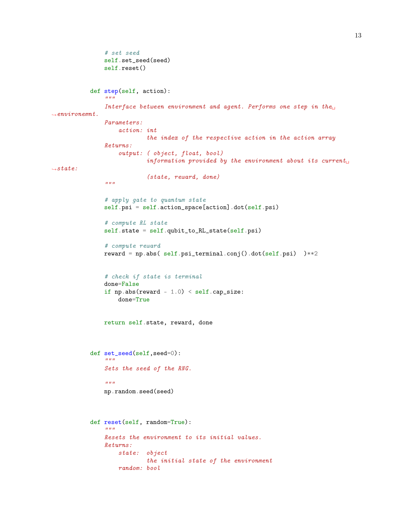```
# set seed
                self.set_seed(seed)
                self.reset()
            def step(self, action):
                """
                Interface between environment and agent. Performs one step in the\Box\rightarrowenvironemnt.
                Parameters:
                    action: int
                             the index of the respective action in the action array
                Returns:
                    output: ( object, float, bool)
                             information provided by the environment about its currentL_{\Box}ightharpoonupstate:
                             (state, reward, done)
                \bar{n} \bar{n} \bar{n}# apply gate to quantum state
                self.psi = self.action_space[action].dot(self.psi)
                # compute RL state
                self.state = self.qubit_to_RL_state(self.psi)
                # compute reward
                reward = np.abs( self.psi_terminal.conj().dot(self.psi) )**2
                # check if state is terminal
                done=False
                if np.abs(reward - 1.0) < self.cap_size:
                    done=True
                return self.state, reward, done
            def set_seed(self,seed=0):
                "''"Sets the seed of the RNG.
                \bar{n} \bar{n} \bar{n}np.random.seed(seed)
            def reset(self, random=True):
                "''"Resets the environment to its initial values.
                Returns:
                    state: object
                             the initial state of the environment
                    random: bool
```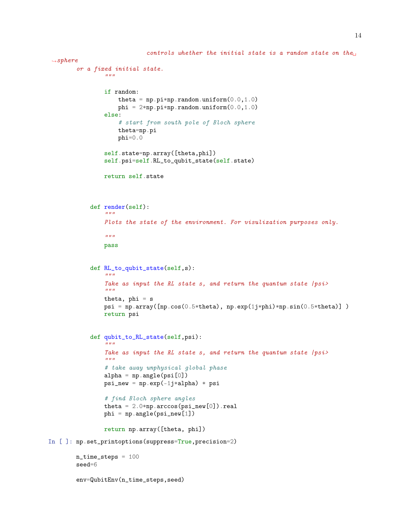```
controls whether the initial state is a random state on the
\rightarrowsphere
        or a fixed initial state.
                 \boldsymbol{u} \boldsymbol{u} \boldsymbol{u}if random:
                      theta = np.pyi*np.random.uniform(0.0, 1.0)phi = 2*np.pyi*np.random.uniform(0.0, 1.0)else:
                      # start from south pole of Bloch sphere
                      theta=np.pi
                      phi=0.0
                 self.state=np.array([theta,phi])
                 self.psi=self.RL_to_qubit_state(self.state)
                 return self.state
             def render(self):
                  "''"Plots the state of the environment. For visulization purposes only.
                 "''"pass
             def RL_to_qubit_state(self,s):
                 "''"''"Take as input the RL state s, and return the quantum state |psi\rangle"""
                 theta, phi = spsi = np.array([np.cos(0.5*theta), np.exp(1j*phi)*np.sin(0.5*theta)])
                 return psi
             def qubit_to_RL_state(self,psi):
                 "''"''"Take as input the RL state s, and return the quantum state |psi\rangle\boldsymbol{u} \boldsymbol{u} \boldsymbol{u}# take away unphysical global phase
                 alpha = np.angle(psi[0])
                 psi = np.exp(-1j*alpha) * psi# find Bloch sphere angles
                 theta = 2.0*np.\arccos(psi_new[0]).realphi = np.append(psi_new[1])return np.array([theta, phi])
In [ ]: np.set_printoptions(suppress=True,precision=2)
        n_time_steps = 100
        seed=6
```

```
env=QubitEnv(n_time_steps,seed)
```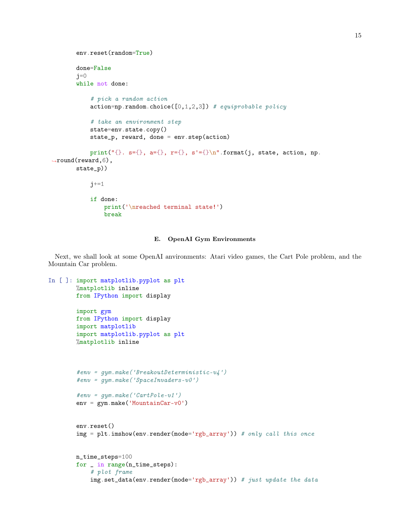```
env.reset(random=True)
       done=False
       j=0while not done:
           # pick a random action
           action=np.random choice([0,1,2,3]) # equiprobable policy
           # take an environment step
           state=env.state.copy()
           state_p, reward, done = env.step(action)
           print("{}. s={}, a={}, r={}, s'={}\n".format(j, state, action, np.
,→round(reward,6),
       state_p))
           j+=1if done:
               print('\nreached terminal state!')
               break
```
# E. OpenAI Gym Environments

Next, we shall look at some OpenAI anvironments: Atari video games, the Cart Pole problem, and the Mountain Car problem.

```
In [ ]: import matplotlib.pyplot as plt
       %matplotlib inline
       from IPython import display
        import gym
       from IPython import display
        import matplotlib
        import matplotlib.pyplot as plt
       %matplotlib inline
        #env = gym.make('BreakoutDeterministic-v4')
        #env = qym.make('SpaceInvaders-v0')#env = qym.make('CartPole-v1')env = gym.make('MountainCar-v0')
       env.reset()
        img = plt.inshow(env.random(model='rgb_array')) # only call this oncen_time_steps=100
       for _ in range(n_time_steps):
            # plot frame
            img.set_data(env.render(mode='rgb_array')) # just update the data
```